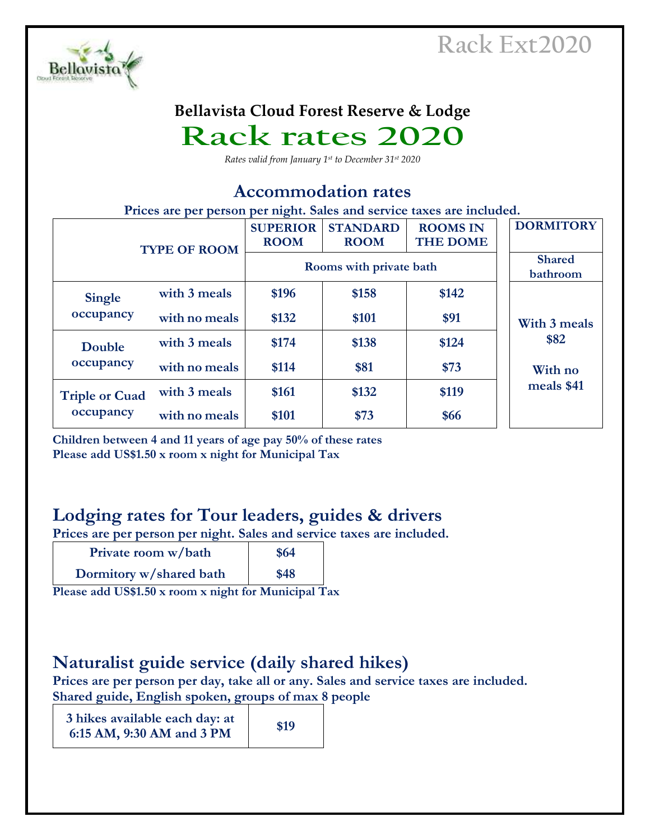

#### **Bellavista Cloud Forest Reserve & Lodge**

# **Rack rates 2020**

*Rates valid from January 1st to December 31st 2020*

#### **Accommodation rates**

**Prices are per person per night. Sales and service taxes are included.**

| <b>TYPE OF ROOM</b>                |               | <b>SUPERIOR</b><br><b>ROOM</b> | <b>STANDARD</b><br><b>ROOM</b> | <b>ROOMS IN</b><br><b>THE DOME</b> | <b>DORMITORY</b>          |
|------------------------------------|---------------|--------------------------------|--------------------------------|------------------------------------|---------------------------|
|                                    |               | Rooms with private bath        |                                |                                    | <b>Shared</b><br>bathroom |
| <b>Single</b>                      | with 3 meals  | \$196                          | \$158                          | \$142                              |                           |
| occupancy                          | with no meals | \$132                          | \$101                          | \$91                               | With 3 meals              |
| Double                             | with 3 meals  | \$174                          | \$138                          | \$124                              | \$82                      |
| occupancy                          | with no meals | \$114                          | \$81                           | \$73                               | With no                   |
| <b>Triple or Cuad</b><br>occupancy | with 3 meals  | \$161                          | \$132                          | \$119                              | meals \$41                |
|                                    | with no meals | \$101                          | \$73                           | \$66                               |                           |

**Children between 4 and 11 years of age pay 50% of these rates Please add US\$1.50 x room x night for Municipal Tax**

### **Lodging rates for Tour leaders, guides & drivers**

**Prices are per person per night. Sales and service taxes are included.**

| Private room w/bath     | \$64 |
|-------------------------|------|
| Dormitory w/shared bath | \$48 |

**Please add US\$1.50 x room x night for Municipal Tax**

#### **Naturalist guide service (daily shared hikes)**

**Prices are per person per day, take all or any. Sales and service taxes are included. Shared guide, English spoken, groups of max 8 people**

| 3 hikes available each day: at | \$19 |
|--------------------------------|------|
| 6:15 AM, 9:30 AM and 3 PM      |      |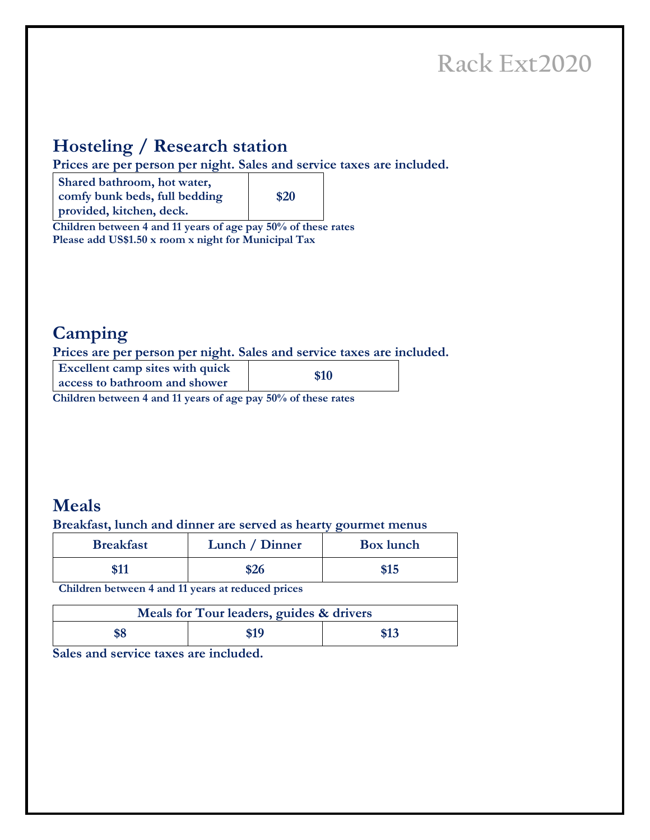### **Hosteling / Research station**

**Prices are per person per night. Sales and service taxes are included.**

**Shared bathroom, hot water, comfy bunk beds, full bedding provided, kitchen, deck.**

**\$20**

**Children between 4 and 11 years of age pay 50% of these rates Please add US\$1.50 x room x night for Municipal Tax**

### **Camping**

**Prices are per person per night. Sales and service taxes are included.**

| <b>Excellent camp sites with quick</b><br>access to bathroom and shower | \$10 |
|-------------------------------------------------------------------------|------|
|-------------------------------------------------------------------------|------|

**Children between 4 and 11 years of age pay 50% of these rates**

### **Meals**

**Breakfast, lunch and dinner are served as hearty gourmet menus**

| <b>Breakfast</b> | Lunch / Dinner | <b>Box</b> lunch |
|------------------|----------------|------------------|
| <u> ሐ 1 1</u>    | \$26           | \$15             |

**Children between 4 and 11 years at reduced prices**

| Meals for Tour leaders, guides & drivers |      |      |  |  |
|------------------------------------------|------|------|--|--|
|                                          | \$19 | \$13 |  |  |

**Sales and service taxes are included.**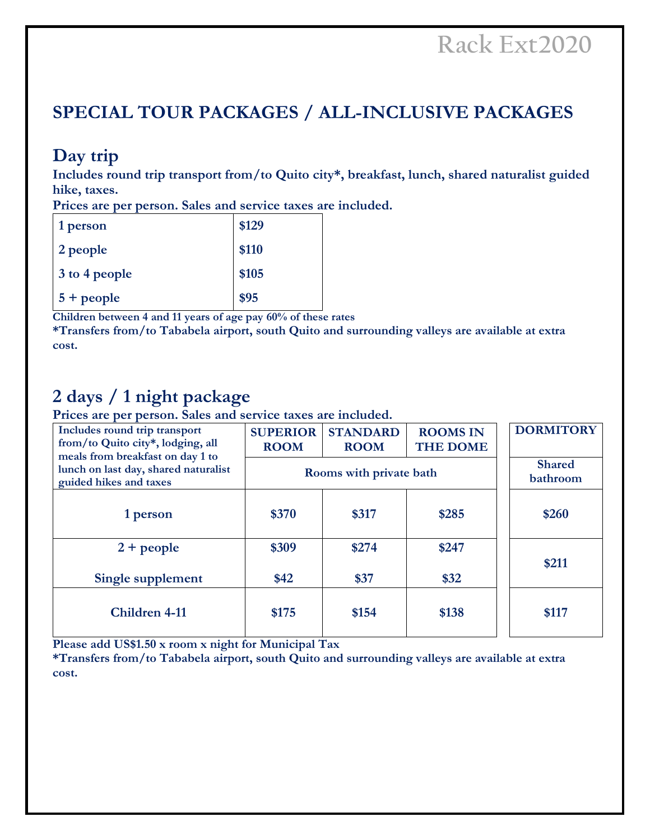### **SPECIAL TOUR PACKAGES / ALL-INCLUSIVE PACKAGES**

### **Day trip**

**Includes round trip transport from/to Quito city\*, breakfast, lunch, shared naturalist guided hike, taxes.** 

**Prices are per person. Sales and service taxes are included.** 

| 1 person      | \$129 |
|---------------|-------|
| 2 people      | \$110 |
| 3 to 4 people | \$105 |
| $5 + people$  | \$95  |

**Children between 4 and 11 years of age pay 60% of these rates**

**\*Transfers from/to Tababela airport, south Quito and surrounding valleys are available at extra cost.**

### **2 days / 1 night package**

**Prices are per person. Sales and service taxes are included.** 

| Includes round trip transport<br>from/to Quito city*, lodging, all<br>meals from breakfast on day 1 to | <b>SUPERIOR</b><br><b>ROOM</b> | <b>STANDARD</b><br><b>ROOM</b> | <b>ROOMS IN</b><br><b>THE DOME</b> | <b>DORMITORY</b>          |
|--------------------------------------------------------------------------------------------------------|--------------------------------|--------------------------------|------------------------------------|---------------------------|
| lunch on last day, shared naturalist<br>guided hikes and taxes                                         |                                | Rooms with private bath        |                                    | <b>Shared</b><br>bathroom |
| 1 person                                                                                               | \$370                          | \$317                          | \$285                              | \$260                     |
| $2 + people$                                                                                           | \$309                          | \$274                          | \$247                              | \$211                     |
| Single supplement                                                                                      | \$42                           | \$37                           | \$32                               |                           |
| <b>Children 4-11</b>                                                                                   | \$175                          | \$154                          | \$138                              | \$117                     |

**Please add US\$1.50 x room x night for Municipal Tax**

**\*Transfers from/to Tababela airport, south Quito and surrounding valleys are available at extra cost.**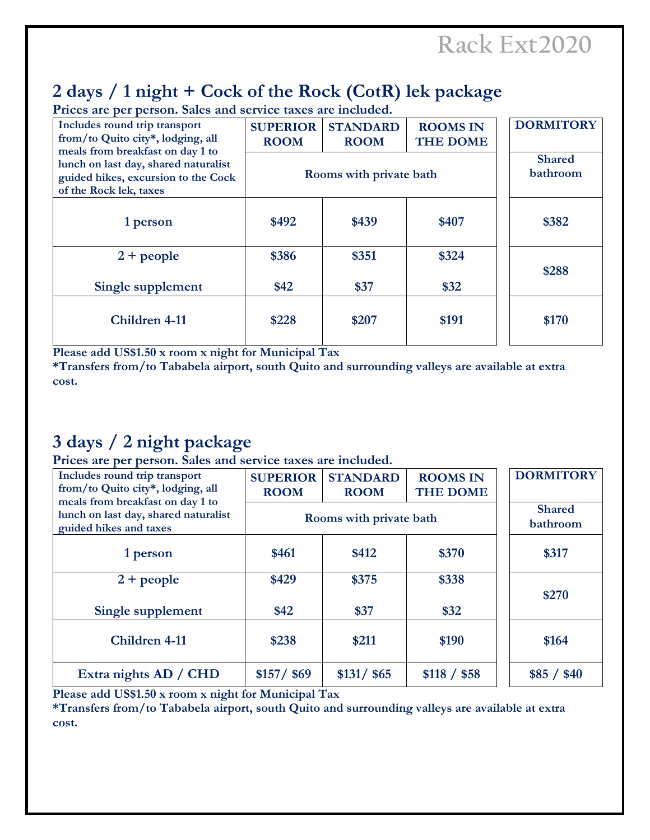# **2 days / 1 night + Cock of the Rock (CotR) lek package**

**Prices are per person. Sales and service taxes are included.** 

| Includes round trip transport<br>from/to Quito city*, lodging, all<br>meals from breakfast on day 1 to | <b>SUPERIOR</b><br><b>ROOM</b> | <b>STANDARD</b><br><b>ROOM</b> | <b>ROOMS IN</b><br><b>THE DOME</b> | <b>DORMITORY</b>          |
|--------------------------------------------------------------------------------------------------------|--------------------------------|--------------------------------|------------------------------------|---------------------------|
| lunch on last day, shared naturalist<br>guided hikes, excursion to the Cock<br>of the Rock lek, taxes  | Rooms with private bath        |                                |                                    | <b>Shared</b><br>bathroom |
| 1 person                                                                                               | \$492                          | \$439                          | \$407                              | \$382                     |
| $2 + people$                                                                                           | \$386                          | \$351                          | \$324                              | \$288                     |
| Single supplement                                                                                      | \$42                           | \$37                           | \$32                               |                           |
| Children 4-11                                                                                          | \$228                          | \$207                          | \$191                              | \$170                     |

**Please add US\$1.50 x room x night for Municipal Tax**

**\*Transfers from/to Tababela airport, south Quito and surrounding valleys are available at extra cost.**

# **3 days / 2 night package**

**Prices are per person. Sales and service taxes are included.** 

| Includes round trip transport<br>from/to Quito city*, lodging, all<br>meals from breakfast on day 1 to | <b>SUPERIOR</b><br><b>ROOM</b> | <b>STANDARD</b><br><b>ROOM</b> | <b>ROOMS IN</b><br><b>THE DOME</b> | <b>DORMITORY</b>          |
|--------------------------------------------------------------------------------------------------------|--------------------------------|--------------------------------|------------------------------------|---------------------------|
| lunch on last day, shared naturalist<br>guided hikes and taxes                                         |                                | Rooms with private bath        |                                    | <b>Shared</b><br>bathroom |
| 1 person                                                                                               | \$461                          | \$412                          | \$370                              | \$317                     |
| $2 + people$                                                                                           | \$429                          | \$375                          | \$338                              |                           |
| Single supplement                                                                                      | \$42                           | \$37                           | \$32                               | \$270                     |
| Children 4-11                                                                                          | \$238                          | \$211                          | \$190                              | \$164                     |
| Extra nights AD / CHD                                                                                  | $$157/$ \$69                   | $$131/$ \$65                   | \$118 / \$58                       | \$85 / \$40               |

**Please add US\$1.50 x room x night for Municipal Tax**

**\*Transfers from/to Tababela airport, south Quito and surrounding valleys are available at extra cost.**